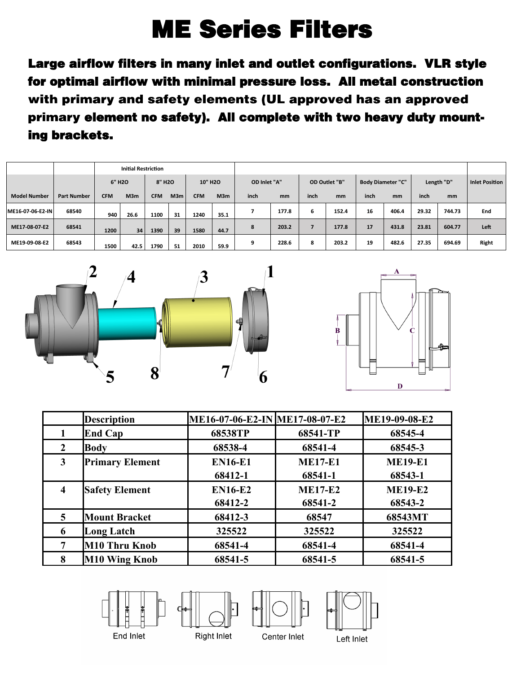## ME Series Filters

Large airflow filters in many inlet and outlet configurations. VLR style for optimal airflow with minimal pressure loss. All metal construction with primary and safety elements (UL approved has an approved primary element no safety). All complete with two heavy duty mounting brackets.

|                     |                    | <b>Initial Restriction</b>                 |                 |                     |     |              |      |               |       |                          |       |            |       |                |        |       |
|---------------------|--------------------|--------------------------------------------|-----------------|---------------------|-----|--------------|------|---------------|-------|--------------------------|-------|------------|-------|----------------|--------|-------|
|                     |                    | 6" H <sub>2</sub> O<br>8" H <sub>2</sub> O |                 | 10" H <sub>20</sub> |     | OD Inlet "A" |      | OD Outlet "B" |       | <b>Body Diameter "C"</b> |       | Length "D" |       | Inlet Position |        |       |
| <b>Model Number</b> | <b>Part Number</b> | <b>CFM</b>                                 | M3m             | <b>CFM</b>          | M3m | <b>CFM</b>   | M3m  | inch          | mm    | inch                     | mm    | inch       | mm    | inch           | mm     |       |
| ME16-07-06-E2-IN    | 68540              | 940                                        | 26.6            | 1100                | 31  | 1240         | 35.1 |               | 177.8 | 6                        | 152.4 | 16         | 406.4 | 29.32          | 744.73 | End   |
| ME17-08-07-E2       | 68541              | 1200                                       | 34 <sup>1</sup> | 1390                | 39  | 1580         | 44.7 | 8             | 203.2 |                          | 177.8 | 17         | 431.8 | 23.81          | 604.77 | Left  |
| ME19-09-08-E2       | 68543              | 1500                                       | 42.5            | 1790                | 51  | 2010         | 59.9 | q             | 228.6 | 8                        | 203.2 | 19         | 482.6 | 27.35          | 694.69 | Right |





|                  | <b>Description</b>     | ME16-07-06-E2-IN ME17-08-07-E2 |                | ME19-09-08-E2  |
|------------------|------------------------|--------------------------------|----------------|----------------|
|                  | <b>End Cap</b>         | 68538TP                        | 68541-TP       | 68545-4        |
| 2                | <b>Body</b>            | 68538-4                        | 68541-4        | 68545-3        |
| 3                | <b>Primary Element</b> | <b>EN16-E1</b>                 | <b>ME17-E1</b> | <b>ME19-E1</b> |
|                  |                        | 68412-1                        | 68541-1        | 68543-1        |
| $\boldsymbol{4}$ | <b>Safety Element</b>  | <b>EN16-E2</b>                 | <b>ME17-E2</b> | <b>ME19-E2</b> |
|                  |                        | 68412-2                        | 68541-2        | 68543-2        |
| 5                | <b>Mount Bracket</b>   | 68412-3                        | 68547          | 68543MT        |
| 6                | <b>Long Latch</b>      | 325522                         | 325522         | 325522         |
| 7                | M10 Thru Knob          | 68541-4                        | 68541-4        | 68541-4        |
| 8                | <b>M10 Wing Knob</b>   | 68541-5                        | 68541-5        | 68541-5        |









Center Inlet

Left Inlet